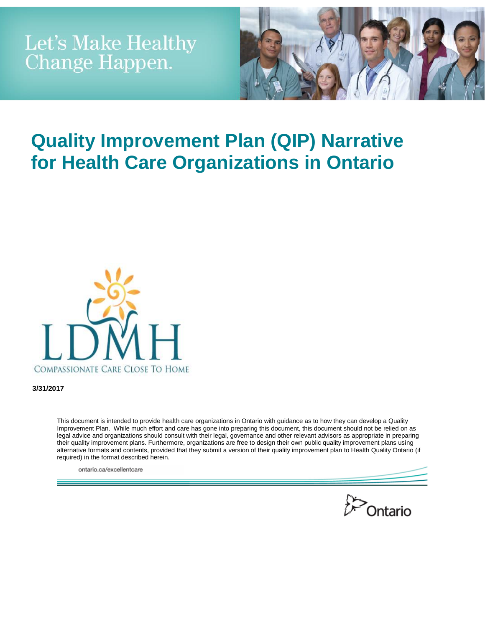

# **Quality Improvement Plan (QIP) Narrative for Health Care Organizations in Ontario**



**3/31/2017**

This document is intended to provide health care organizations in Ontario with guidance as to how they can develop a Quality Improvement Plan. While much effort and care has gone into preparing this document, this document should not be relied on as legal advice and organizations should consult with their legal, governance and other relevant advisors as appropriate in preparing their quality improvement plans. Furthermore, organizations are free to design their own public quality improvement plans using alternative formats and contents, provided that they submit a version of their quality improvement plan to Health Quality Ontario (if required) in the format described herein.

ontario.ca/excellentcare

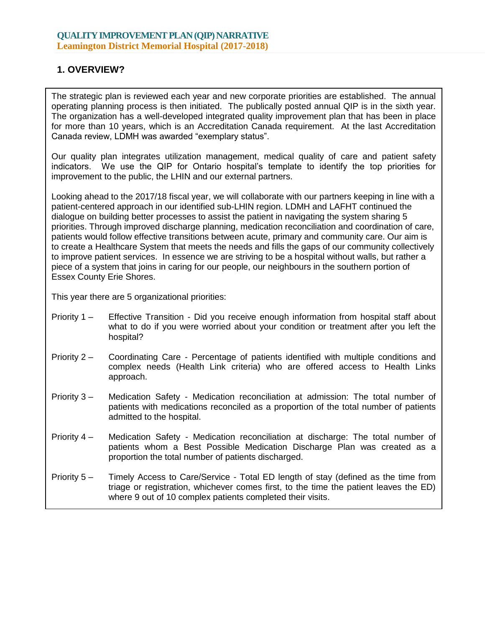## **1. OVERVIEW?**

The strategic plan is reviewed each year and new corporate priorities are established. The annual operating planning process is then initiated. The publically posted annual QIP is in the sixth year. The organization has a well-developed integrated quality improvement plan that has been in place for more than 10 years, which is an Accreditation Canada requirement. At the last Accreditation Canada review, LDMH was awarded "exemplary status".

Our quality plan integrates utilization management, medical quality of care and patient safety indicators. We use the QIP for Ontario hospital's template to identify the top priorities for improvement to the public, the LHIN and our external partners.

Looking ahead to the 2017/18 fiscal year, we will collaborate with our partners keeping in line with a patient-centered approach in our identified sub-LHIN region. LDMH and LAFHT continued the dialogue on building better processes to assist the patient in navigating the system sharing 5 priorities. Through improved discharge planning, medication reconciliation and coordination of care, patients would follow effective transitions between acute, primary and community care. Our aim is to create a Healthcare System that meets the needs and fills the gaps of our community collectively to improve patient services. In essence we are striving to be a hospital without walls, but rather a piece of a system that joins in caring for our people, our neighbours in the southern portion of Essex County Erie Shores.

This year there are 5 organizational priorities:

- Priority 1 Effective Transition Did you receive enough information from hospital staff about what to do if you were worried about your condition or treatment after you left the hospital?
- Priority 2 Coordinating Care Percentage of patients identified with multiple conditions and complex needs (Health Link criteria) who are offered access to Health Links approach.
- Priority 3 Medication Safety Medication reconciliation at admission: The total number of patients with medications reconciled as a proportion of the total number of patients admitted to the hospital.
- Priority 4 Medication Safety Medication reconciliation at discharge: The total number of patients whom a Best Possible Medication Discharge Plan was created as a proportion the total number of patients discharged.
- Priority 5 Timely Access to Care/Service Total ED length of stay (defined as the time from triage or registration, whichever comes first, to the time the patient leaves the ED) where 9 out of 10 complex patients completed their visits.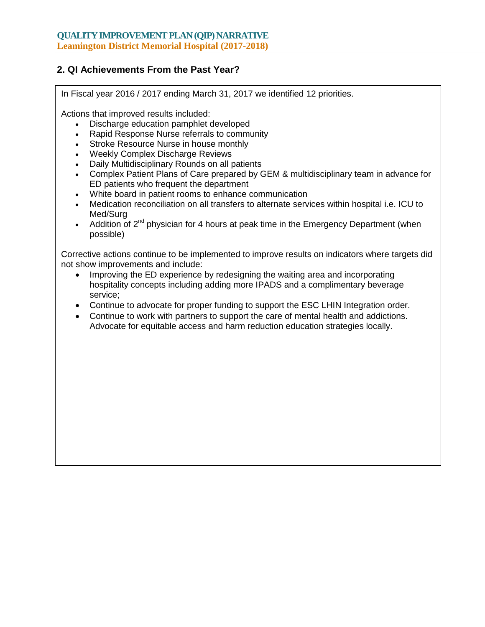## **2. QI Achievements From the Past Year?**

In Fiscal year 2016 / 2017 ending March 31, 2017 we identified 12 priorities.

Actions that improved results included:

- Discharge education pamphlet developed
- Rapid Response Nurse referrals to community
- Stroke Resource Nurse in house monthly
- Weekly Complex Discharge Reviews
- Daily Multidisciplinary Rounds on all patients
- Complex Patient Plans of Care prepared by GEM & multidisciplinary team in advance for ED patients who frequent the department
- White board in patient rooms to enhance communication
- Medication reconciliation on all transfers to alternate services within hospital i.e. ICU to Med/Surg
- Addition of  $2^{nd}$  physician for 4 hours at peak time in the Emergency Department (when possible)

Corrective actions continue to be implemented to improve results on indicators where targets did not show improvements and include:

- Improving the ED experience by redesigning the waiting area and incorporating hospitality concepts including adding more IPADS and a complimentary beverage service;
- Continue to advocate for proper funding to support the ESC LHIN Integration order.
- Continue to work with partners to support the care of mental health and addictions. Advocate for equitable access and harm reduction education strategies locally.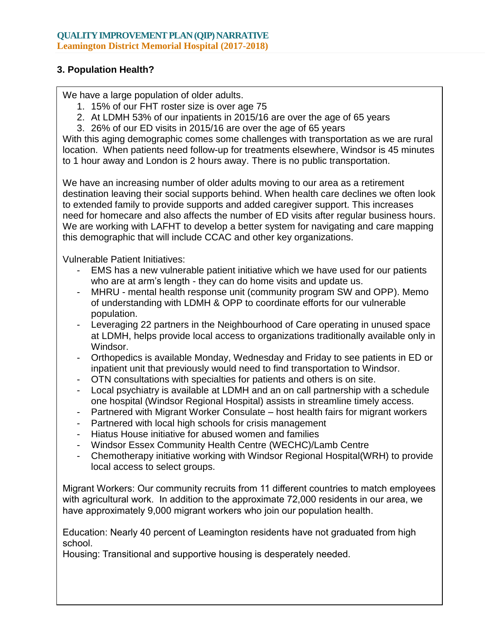## **3. Population Health?**

We have a large population of older adults.

- 1. 15% of our FHT roster size is over age 75
- 2. At LDMH 53% of our inpatients in 2015/16 are over the age of 65 years
- 3. 26% of our ED visits in 2015/16 are over the age of 65 years

With this aging demographic comes some challenges with transportation as we are rural location. When patients need follow-up for treatments elsewhere, Windsor is 45 minutes to 1 hour away and London is 2 hours away. There is no public transportation.

We have an increasing number of older adults moving to our area as a retirement destination leaving their social supports behind. When health care declines we often look to extended family to provide supports and added caregiver support. This increases need for homecare and also affects the number of ED visits after regular business hours. We are working with LAFHT to develop a better system for navigating and care mapping this demographic that will include CCAC and other key organizations.

Vulnerable Patient Initiatives:

- EMS has a new vulnerable patient initiative which we have used for our patients who are at arm's length - they can do home visits and update us.
- MHRU mental health response unit (community program SW and OPP). Memo of understanding with LDMH & OPP to coordinate efforts for our vulnerable population.
- Leveraging 22 partners in the Neighbourhood of Care operating in unused space at LDMH, helps provide local access to organizations traditionally available only in Windsor.
- Orthopedics is available Monday, Wednesday and Friday to see patients in ED or inpatient unit that previously would need to find transportation to Windsor.
- OTN consultations with specialties for patients and others is on site.
- Local psychiatry is available at LDMH and an on call partnership with a schedule one hospital (Windsor Regional Hospital) assists in streamline timely access.
- Partnered with Migrant Worker Consulate host health fairs for migrant workers
- Partnered with local high schools for crisis management
- Hiatus House initiative for abused women and families
- Windsor Essex Community Health Centre (WECHC)/Lamb Centre
- Chemotherapy initiative working with Windsor Regional Hospital(WRH) to provide local access to select groups.

Migrant Workers: Our community recruits from 11 different countries to match employees with agricultural work. In addition to the approximate 72,000 residents in our area, we have approximately 9,000 migrant workers who join our population health.

Education: Nearly 40 percent of Leamington residents have not graduated from high school.

Housing: Transitional and supportive housing is desperately needed.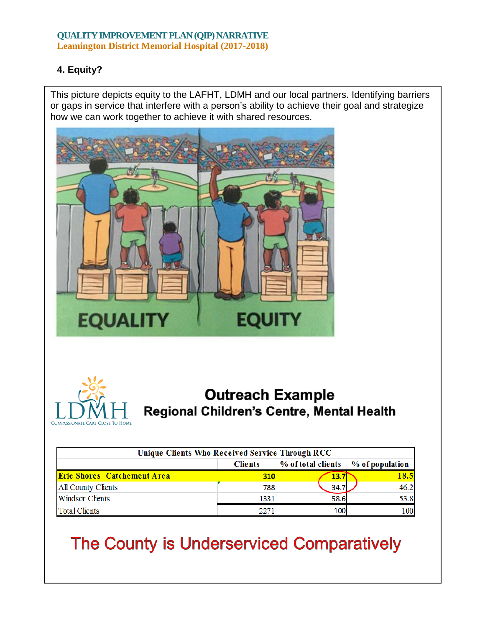## **4. Equity?**

This picture depicts equity to the LAFHT, LDMH and our local partners. Identifying barriers or gaps in service that interfere with a person's ability to achieve their goal and strategize how we can work together to achieve it with shared resources.





## **Outreach Example** Regional Children's Centre, Mental Health

| Unique Clients Who Received Service Through RCC |                |                    |                 |  |  |  |  |
|-------------------------------------------------|----------------|--------------------|-----------------|--|--|--|--|
|                                                 | <b>Clients</b> | % of total clients | % of population |  |  |  |  |
| <b>Erie Shores Catchement Area</b>              | 310            | 13.7               | 18.5            |  |  |  |  |
| All County Clients                              | 788            | 34.7               | 46.2            |  |  |  |  |
| <b>Windsor Clients</b>                          | 1331           | 58.6               | 53.8            |  |  |  |  |
| <b>Total Clients</b>                            |                |                    |                 |  |  |  |  |

# The County is Underserviced Comparatively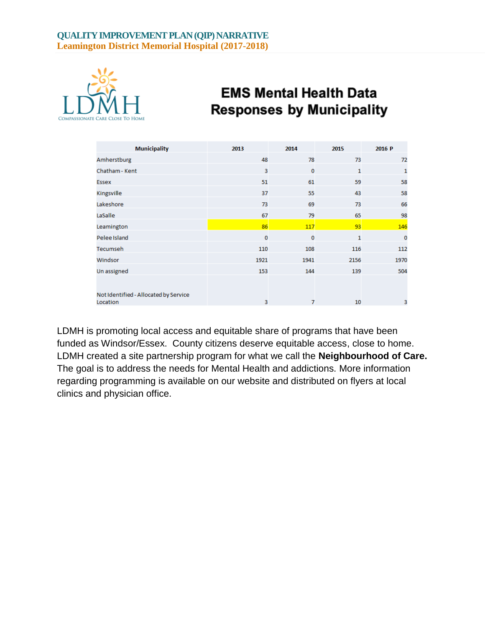

## **EMS Mental Health Data Responses by Municipality**

| <b>Municipality</b>                   | 2013     | 2014     | 2015 | 2016 P       |
|---------------------------------------|----------|----------|------|--------------|
| Amherstburg                           | 48       | 78       | 73   | 72           |
| Chatham - Kent                        | 3        | $\bf{0}$ | 1    | $\mathbf{1}$ |
| Essex                                 | 51       | 61       | 59   | 58           |
| Kingsville                            | 37       | 55       | 43   | 58           |
| Lakeshore                             | 73       | 69       | 73   | 66           |
| LaSalle                               | 67       | 79       | 65   | 98           |
| Leamington                            | 86       | 117      | 93   | 146          |
| Pelee Island                          | $\bf{0}$ | $\bf{0}$ | 1    | $\bf{0}$     |
| <b>Tecumseh</b>                       | 110      | 108      | 116  | 112          |
| Windsor                               | 1921     | 1941     | 2156 | 1970         |
| Un assigned                           | 153      | 144      | 139  | 504          |
| Not Identified - Allocated by Service |          |          |      |              |
| Location                              | 3        | 7        | 10   | 3            |

LDMH is promoting local access and equitable share of programs that have been funded as Windsor/Essex. County citizens deserve equitable access, close to home. LDMH created a site partnership program for what we call the **Neighbourhood of Care.** The goal is to address the needs for Mental Health and addictions. More information regarding programming is available on our website and distributed on flyers at local clinics and physician office.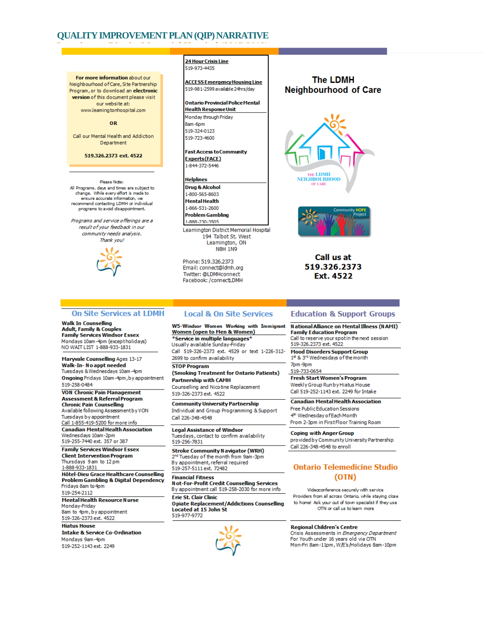For more information about our Neighbourhood of Care, Site Partnership Program, or to download an electronic version of this document please visit our website at: www.leamingtonhospital.com

#### OR

Call our Mental Health and Addiction Department

519.326.2373 ext. 4522

Please Note: All Programs, days and times are subject to change. While every effort is made to ensure accurate information, we<br>recommend contacting LDMH or individual programs to avoid disappointment

Programs and service offerings are a result of your feedback in our community needs analysis. Thank you!



**24 Hour Crisis Line** 519-973-4435

**ACCESS Emergency Housing Line** 519-981-2599 available 24hrs/dav

#### **Ontario Provincial Police Mental Health Response Unit**

Monday through Friday 8am-6pm 519-324-0123 519-723-4600

**Fast Access to Community** Experts(FACE) 1-844-372-5446

#### Helplines

Drug & Alcohol 1-800-565-8603 Mental Health 1-866-531-2600 **Problem Gambling** 1-888-230-3505

Leamington District Memorial Hospital 194 Talbot St. West Leamington, ON **N8H 1N9** 

Phone: 519.326.2373 Email: connect@ldmh.org Twitter: @LDMHconnect Facebook: /connectLDMH

#### **The LDMH Neighbourhood of Care**





Call us at 519.326.2373 Ext. 4522

#### **On Site Services at LDMH**

**Walk In Counselling Adult, Family & Couples<br>Family Services Windsor Essex** Mondays 10am-4pm (exceptholidays) NO WAIT LIST 1-888-933-1831

**Maryvale Counselling Ages 13-17** Walk-In-No appt needed Tuesdays & Wednesdays 10am-4pm Ongoing Fridays 10am-4pm, by appointment 519-258-0484 **VON Chronic Pain Management** 

Assessment & Referral Program **Chronic Pain Counselling** Available following Assessment by VON Tuesdays by appointment Call 1-855-419-5200 for more info **Canadian Mental Health Association** 

Wednesdavs 10am-2pm 519-255-7440 ext. 357 or 387 **Family Services Windsor Essex** 

**Client Intervention Program** Thursdays 9 am to 12 pm 1-888-933-1831 Hôtel-Dieu Grace Healthcare Counselling **Problem Gambling & Digital Dependency** Fridays 8am to 4pm 519-254-2112 **Mental Health Resource Nurse** Monday-Friday 8am to 4pm, by appointment 519-326-2373 ext. 4522 **Hiatus House Intake & Service Co-Ordination** 

Mondays 9am-4pm 519-252-1143 ext. 2249

#### **Local & On Site Services**

W5-Windsor Women Working with Immigrant **Women (open to Men & Women)** \*Service in multiple languages\* Usually available Sunday-Friday Call 519-326-2373 ext. 4529 or text 1-226-312-

2699 to confirm availability **STOP Program** 

(Smoking Treatment for Ontario Patients) **Partnership with CAMH** 

Counselling and Nicotine Replacement 519-326-2373 ext. 4522

**Community University Partnership** Individual and Group Programming & Support Call 226-348-4548

**Legal Assistance of Windsor** Tuesdays, contact to confirm availability 519-256-7831

**Stroke Community Navigator (WRH)** 2<sup>nd</sup> Tuesday of the month from 9am-3pm<br>By appointment, referral required 519-257-5111 ext. 72482

**Financial Fitness Not-For-Profit Credit Counselling Services** 

By appointment call 519-258-2030 for more info Erie St. Clair Clinic

**Opiate Replacement/Addictions Counselling** Located at 15 John St 519-977-9772



### **Education & Support Groups**

National Alliance on Mental Illness (NAMI) **Family Education Program** Call to reserve your spot in the next session 519-326.2373 ext. 4522

**Mood Disorders Support Group** 1\* & 3rd Wednesdays of the month 7nm-9nm

519-733-0654

**Fresh Start Women's Program** Weekly Group Run by Hiatus House Call 519-252-1143 ext. 2249 for Intake

**Canadian Mental Health Association** Free Public Education Sessions 4th Wednesday of Each Month From 2-3pm in First Floor Training Room

**Coping with Anger Group** provided by Community University Partnership Call 226-348-4548 to enroll

#### **Ontario Telemedicine Studio** (OTN)

Videoconference securely with service Providers from all across Ontario, while staving close to home! Ask your out of town specialist if they use OTN or call us to learn more

**Regional Children's Centre** 

Crisis Assessments in Emergency Department For Youth under 16 years old via OTN Mon-Fri 8am-11pm, W/E's/Holidays 8am-10pm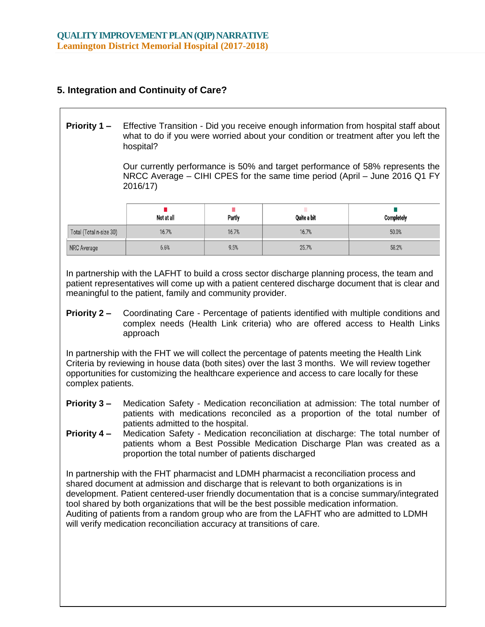## **5. Integration and Continuity of Care?**

**Priority 1 –** Effective Transition - Did you receive enough information from hospital staff about what to do if you were worried about your condition or treatment after you left the hospital?

> Our currently performance is 50% and target performance of 58% represents the NRCC Average – CIHI CPES for the same time period (April – June 2016 Q1 FY 2016/17)

|                         | Not at all | Partly | Quite a bit | <b>Completely</b> |
|-------------------------|------------|--------|-------------|-------------------|
| Total (Total n-size 30) | 16.7%      | 16.7%  | 16.7%       | 50.0%             |
| <b>NRC Average</b>      | 6.6%       | 9.5%   | 25.7%       | 58.2%             |

In partnership with the LAFHT to build a cross sector discharge planning process, the team and patient representatives will come up with a patient centered discharge document that is clear and meaningful to the patient, family and community provider.

**Priority 2 –** Coordinating Care - Percentage of patients identified with multiple conditions and complex needs (Health Link criteria) who are offered access to Health Links approach

In partnership with the FHT we will collect the percentage of patents meeting the Health Link Criteria by reviewing in house data (both sites) over the last 3 months. We will review together opportunities for customizing the healthcare experience and access to care locally for these complex patients.

- **Priority 3 –** Medication Safety Medication reconciliation at admission: The total number of patients with medications reconciled as a proportion of the total number of patients admitted to the hospital.
- **Priority 4 –** Medication Safety Medication reconciliation at discharge: The total number of patients whom a Best Possible Medication Discharge Plan was created as a proportion the total number of patients discharged

In partnership with the FHT pharmacist and LDMH pharmacist a reconciliation process and shared document at admission and discharge that is relevant to both organizations is in development. Patient centered-user friendly documentation that is a concise summary/integrated tool shared by both organizations that will be the best possible medication information. Auditing of patients from a random group who are from the LAFHT who are admitted to LDMH will verify medication reconciliation accuracy at transitions of care.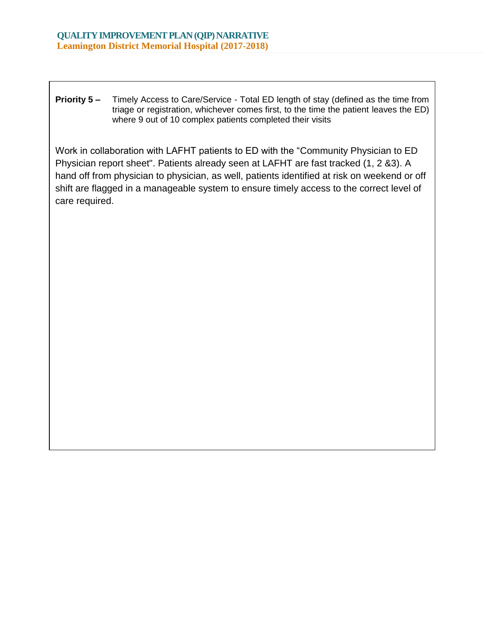**Priority 5 –** Timely Access to Care/Service - Total ED length of stay (defined as the time from triage or registration, whichever comes first, to the time the patient leaves the ED) where 9 out of 10 complex patients completed their visits

Work in collaboration with LAFHT patients to ED with the "Community Physician to ED Physician report sheet". Patients already seen at LAFHT are fast tracked (1, 2 &3). A hand off from physician to physician, as well, patients identified at risk on weekend or off shift are flagged in a manageable system to ensure timely access to the correct level of care required.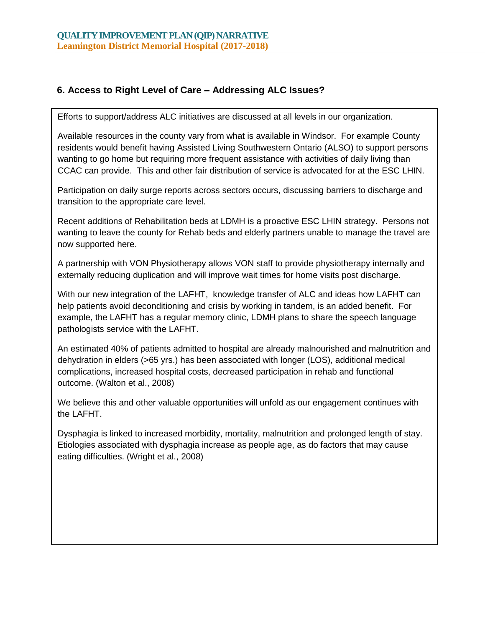## **6. Access to Right Level of Care – Addressing ALC Issues?**

Efforts to support/address ALC initiatives are discussed at all levels in our organization.

Available resources in the county vary from what is available in Windsor. For example County residents would benefit having Assisted Living Southwestern Ontario (ALSO) to support persons wanting to go home but requiring more frequent assistance with activities of daily living than CCAC can provide. This and other fair distribution of service is advocated for at the ESC LHIN.

Participation on daily surge reports across sectors occurs, discussing barriers to discharge and transition to the appropriate care level.

Recent additions of Rehabilitation beds at LDMH is a proactive ESC LHIN strategy. Persons not wanting to leave the county for Rehab beds and elderly partners unable to manage the travel are now supported here.

A partnership with VON Physiotherapy allows VON staff to provide physiotherapy internally and externally reducing duplication and will improve wait times for home visits post discharge.

With our new integration of the LAFHT, knowledge transfer of ALC and ideas how LAFHT can help patients avoid deconditioning and crisis by working in tandem, is an added benefit. For example, the LAFHT has a regular memory clinic, LDMH plans to share the speech language pathologists service with the LAFHT.

An estimated 40% of patients admitted to hospital are already malnourished and malnutrition and dehydration in elders (>65 yrs.) has been associated with longer (LOS), additional medical complications, increased hospital costs, decreased participation in rehab and functional outcome. (Walton et al., 2008)

We believe this and other valuable opportunities will unfold as our engagement continues with the LAFHT.

Dysphagia is linked to increased morbidity, mortality, malnutrition and prolonged length of stay. Etiologies associated with dysphagia increase as people age, as do factors that may cause eating difficulties. (Wright et al., 2008)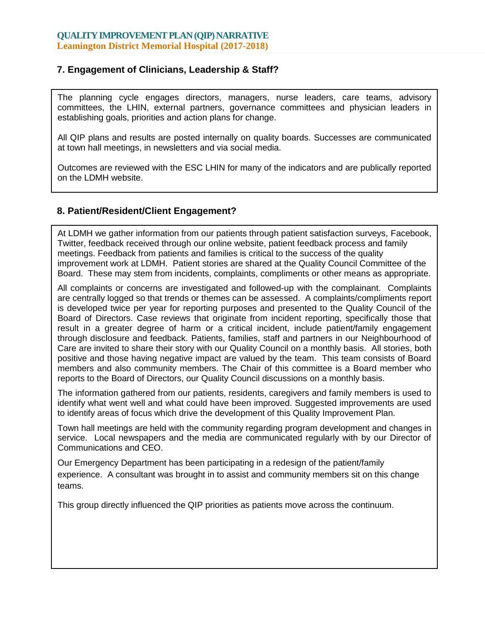## **7. Engagement of Clinicians, Leadership & Staff?**

The planning cycle engages directors, managers, nurse leaders, care teams, advisory committees, the LHIN, external partners, governance committees and physician leaders in establishing goals, priorities and action plans for change.

All QIP plans and results are posted internally on quality boards. Successes are communicated at town hall meetings, in newsletters and via social media.

Outcomes are reviewed with the ESC LHIN for many of the indicators and are publically reported on the LDMH website.

## **8. Patient/Resident/Client Engagement?**

At LDMH we gather information from our patients through patient satisfaction surveys, Facebook, Twitter, feedback received through our online website, patient feedback process and family meetings. Feedback from patients and families is critical to the success of the quality improvement work at LDMH. Patient stories are shared at the Quality Council Committee of the Board. These may stem from incidents, complaints, compliments or other means as appropriate.

All complaints or concerns are investigated and followed-up with the complainant. Complaints are centrally logged so that trends or themes can be assessed. A complaints/compliments report is developed twice per year for reporting purposes and presented to the Quality Council of the Board of Directors. Case reviews that originate from incident reporting, specifically those that result in a greater degree of harm or a critical incident, include patient/family engagement through disclosure and feedback. Patients, families, staff and partners in our Neighbourhood of Care are invited to share their story with our Quality Council on a monthly basis. All stories, both positive and those having negative impact are valued by the team. This team consists of Board members and also community members. The Chair of this committee is a Board member who reports to the Board of Directors, our Quality Council discussions on a monthly basis.

The information gathered from our patients, residents, caregivers and family members is used to identify what went well and what could have been improved. Suggested improvements are used to identify areas of focus which drive the development of this Quality Improvement Plan.

Town hall meetings are held with the community regarding program development and changes in service. Local newspapers and the media are communicated regularly with by our Director of Communications and CEO.

Our Emergency Department has been participating in a redesign of the patient/family experience. A consultant was brought in to assist and community members sit on this change teams.

This group directly influenced the QIP priorities as patients move across the continuum.